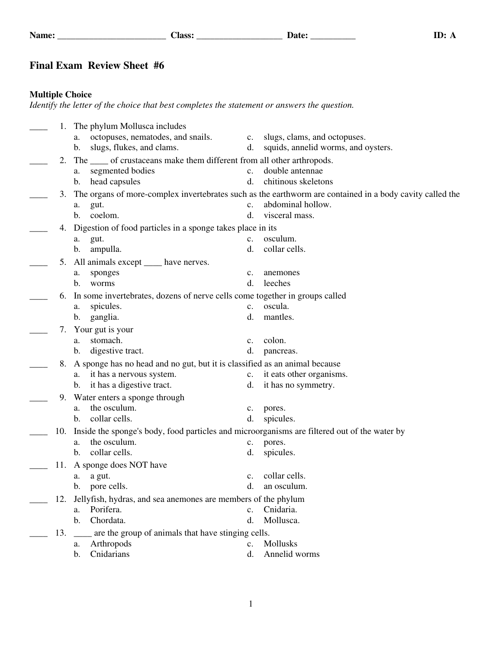## **Final Exam Review Sheet #6**

## **Multiple Choice**

*Identify the letter of the choice that best completes the statement or answers the question.*

| 1.                                                                                | The phylum Mollusca includes                                                                 |                |                                                                                                          |  |  |  |  |
|-----------------------------------------------------------------------------------|----------------------------------------------------------------------------------------------|----------------|----------------------------------------------------------------------------------------------------------|--|--|--|--|
|                                                                                   | octopuses, nematodes, and snails.<br>a.                                                      | c.             | slugs, clams, and octopuses.                                                                             |  |  |  |  |
|                                                                                   | slugs, flukes, and clams.<br>b.                                                              | d.             | squids, annelid worms, and oysters.                                                                      |  |  |  |  |
| 2.                                                                                | The _____ of crustaceans make them different from all other arthropods.                      |                |                                                                                                          |  |  |  |  |
|                                                                                   | segmented bodies<br>a.                                                                       | $\mathbf{c}$ . | double antennae                                                                                          |  |  |  |  |
|                                                                                   | head capsules<br>b.                                                                          | d.             | chitinous skeletons                                                                                      |  |  |  |  |
| 3.                                                                                |                                                                                              |                | The organs of more-complex invertebrates such as the earthworm are contained in a body cavity called the |  |  |  |  |
|                                                                                   |                                                                                              | $\mathbf{c}$ . | abdominal hollow.                                                                                        |  |  |  |  |
|                                                                                   | gut.<br>a.<br>coelom.<br>b.                                                                  | d.             | visceral mass.                                                                                           |  |  |  |  |
|                                                                                   |                                                                                              |                |                                                                                                          |  |  |  |  |
| 4.                                                                                | Digestion of food particles in a sponge takes place in its                                   |                |                                                                                                          |  |  |  |  |
|                                                                                   | gut.<br>a.                                                                                   | c.             | osculum.                                                                                                 |  |  |  |  |
|                                                                                   | ampulla.<br>b.                                                                               | d.             | collar cells.                                                                                            |  |  |  |  |
| 5.                                                                                | All animals except _____ have nerves.                                                        |                |                                                                                                          |  |  |  |  |
|                                                                                   | sponges<br>a.                                                                                | $\mathbf{c}$ . | anemones                                                                                                 |  |  |  |  |
|                                                                                   | b.<br>worms                                                                                  | d.             | leeches                                                                                                  |  |  |  |  |
| In some invertebrates, dozens of nerve cells come together in groups called<br>6. |                                                                                              |                |                                                                                                          |  |  |  |  |
|                                                                                   | spicules.<br>a.                                                                              | c.             | oscula.                                                                                                  |  |  |  |  |
|                                                                                   | ganglia.<br>$\mathbf{b}$ .                                                                   | d.             | mantles.                                                                                                 |  |  |  |  |
| 7.                                                                                | Your gut is your                                                                             |                |                                                                                                          |  |  |  |  |
|                                                                                   | stomach.<br>a.                                                                               | $\mathbf{c}$ . | colon.                                                                                                   |  |  |  |  |
|                                                                                   | digestive tract.<br>$\mathbf{b}$ .                                                           | d.             | pancreas.                                                                                                |  |  |  |  |
| 8.                                                                                | A sponge has no head and no gut, but it is classified as an animal because                   |                |                                                                                                          |  |  |  |  |
|                                                                                   | it has a nervous system.<br>a.                                                               | c.             | it eats other organisms.                                                                                 |  |  |  |  |
|                                                                                   | it has a digestive tract.<br>b.                                                              | d.             | it has no symmetry.                                                                                      |  |  |  |  |
| 9.                                                                                | Water enters a sponge through                                                                |                |                                                                                                          |  |  |  |  |
|                                                                                   | the osculum.<br>a.                                                                           | $\mathbf{c}$ . | pores.                                                                                                   |  |  |  |  |
|                                                                                   | collar cells.<br>$b_{1}$                                                                     | d.             | spicules.                                                                                                |  |  |  |  |
| 10.                                                                               | Inside the sponge's body, food particles and microorganisms are filtered out of the water by |                |                                                                                                          |  |  |  |  |
|                                                                                   | the osculum.<br>a.                                                                           | $c_{\cdot}$    | pores.                                                                                                   |  |  |  |  |
|                                                                                   | collar cells.<br>b.                                                                          | d.             | spicules.                                                                                                |  |  |  |  |
| 11.                                                                               | A sponge does NOT have                                                                       |                |                                                                                                          |  |  |  |  |
|                                                                                   | a gut.<br>а.                                                                                 | $\mathbf{c}$ . | collar cells.                                                                                            |  |  |  |  |
|                                                                                   | b. pore cells.                                                                               | $d_{-}$        | an osculum                                                                                               |  |  |  |  |
|                                                                                   |                                                                                              |                |                                                                                                          |  |  |  |  |
| 12.                                                                               | Jellyfish, hydras, and sea anemones are members of the phylum<br>Porifera.                   | $\mathbf{c}$ . | Cnidaria.                                                                                                |  |  |  |  |
|                                                                                   | a.<br>Chordata.<br>$\mathbf{b}$ .                                                            | d.             | Mollusca.                                                                                                |  |  |  |  |
|                                                                                   |                                                                                              |                |                                                                                                          |  |  |  |  |
| 13.                                                                               | __ are the group of animals that have stinging cells.                                        |                |                                                                                                          |  |  |  |  |
|                                                                                   | Arthropods<br>a.                                                                             | $\mathbf{c}$ . | Mollusks                                                                                                 |  |  |  |  |
|                                                                                   | Cnidarians<br>$\mathbf{b}$ .                                                                 | d.             | Annelid worms                                                                                            |  |  |  |  |
|                                                                                   |                                                                                              |                |                                                                                                          |  |  |  |  |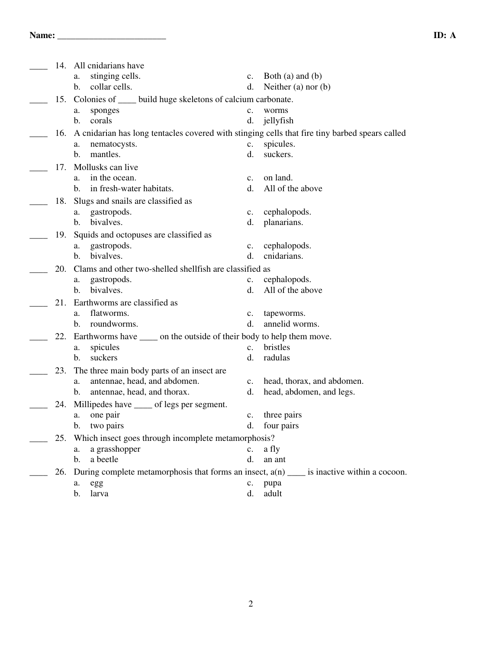|     | 14. All cnidarians have                                                                        |                |                            |  |  |  |
|-----|------------------------------------------------------------------------------------------------|----------------|----------------------------|--|--|--|
|     | stinging cells.<br>a.                                                                          | $c_{\cdot}$    | Both $(a)$ and $(b)$       |  |  |  |
|     | collar cells.<br>b.                                                                            | d.             | Neither $(a)$ nor $(b)$    |  |  |  |
| 15. | Colonies of _____ build huge skeletons of calcium carbonate.                                   |                |                            |  |  |  |
|     | sponges<br>a.                                                                                  | $\mathbf{c}$ . | worms                      |  |  |  |
|     | b.<br>corals                                                                                   | d.             | jellyfish                  |  |  |  |
| 16. | A cnidarian has long tentacles covered with stinging cells that fire tiny barbed spears called |                |                            |  |  |  |
|     | nematocysts.<br>a.                                                                             | c.             | spicules.                  |  |  |  |
|     | mantles.<br>b.                                                                                 | d.             | suckers.                   |  |  |  |
| 17. | Mollusks can live                                                                              |                |                            |  |  |  |
|     | in the ocean.<br>a.                                                                            | c.             | on land.                   |  |  |  |
|     | in fresh-water habitats.<br>b.                                                                 | d.             | All of the above           |  |  |  |
| 18. | Slugs and snails are classified as                                                             |                |                            |  |  |  |
|     | gastropods.<br>a.                                                                              | c.             | cephalopods.               |  |  |  |
|     | bivalves.<br>b.                                                                                | d.             | planarians.                |  |  |  |
| 19. | Squids and octopuses are classified as                                                         |                |                            |  |  |  |
|     | gastropods.<br>a.                                                                              | c.             | cephalopods.               |  |  |  |
|     | bivalves.<br>b.                                                                                | d.             | cnidarians.                |  |  |  |
| 20. | Clams and other two-shelled shellfish are classified as                                        |                |                            |  |  |  |
|     | gastropods.<br>a.                                                                              | $\mathbf{c}$ . | cephalopods.               |  |  |  |
|     | bivalves.<br>b.                                                                                | d.             | All of the above           |  |  |  |
| 21. | Earthworms are classified as                                                                   |                |                            |  |  |  |
|     | flatworms.<br>a.                                                                               | $\mathbf{c}$ . | tapeworms.                 |  |  |  |
|     | roundworms.<br>b.                                                                              | d.             | annelid worms.             |  |  |  |
| 22. | Earthworms have ______ on the outside of their body to help them move.                         |                |                            |  |  |  |
|     | spicules<br>a.                                                                                 | $\mathbf{c}$ . | bristles                   |  |  |  |
|     | suckers<br>b.                                                                                  | d.             | radulas                    |  |  |  |
| 23. | The three main body parts of an insect are                                                     |                |                            |  |  |  |
|     | antennae, head, and abdomen.<br>a.                                                             | $\mathbf{c}$ . | head, thorax, and abdomen. |  |  |  |
|     | antennae, head, and thorax.<br>b.                                                              | d.             | head, abdomen, and legs.   |  |  |  |
| 24. | Millipedes have _____ of legs per segment.                                                     |                |                            |  |  |  |
|     | one pair<br>a.                                                                                 | c.             | three pairs                |  |  |  |
|     | b.<br>two pairs                                                                                | d.             | four pairs                 |  |  |  |
| 25. | Which insect goes through incomplete metamorphosis?                                            |                |                            |  |  |  |
|     | a grasshopper<br>a.                                                                            | c.             | a fly                      |  |  |  |
|     | a beetle<br>b.                                                                                 | d.             | an ant                     |  |  |  |
| 26. | During complete metamorphosis that forms an insect, $a(n)$ _____ is inactive within a cocoon.  |                |                            |  |  |  |
|     | egg<br>a.                                                                                      | c.             | pupa                       |  |  |  |
|     | b.<br>larva                                                                                    | d.             | adult                      |  |  |  |